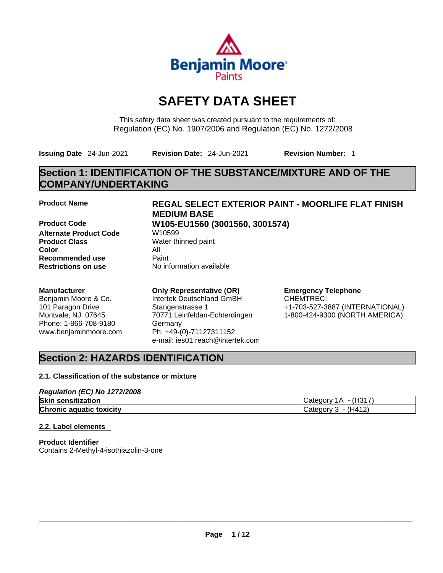

# **SAFETY DATA SHEET**

This safety data sheet was created pursuant to the requirements of: Regulation (EC) No. 1907/2006 and Regulation (EC) No. 1272/2008

**Issuing Date** 24-Jun-2021 **Revision Date:** 24-Jun-2021 **Revision Number:** 1

## **Section 1: IDENTIFICATION OF THE SUBSTANCE/MIXTURE AND OF THE COMPANY/UNDERTAKING**

**Product Code W105-EU1560 (3001560, 3001574) Alternate Product Code W10599 Product Class** Water thinned paint **Color** All **Recommended use** Paint<br> **Restrictions on use** Mo information available **Restrictions** on use

## **Manufacturer**

Benjamin Moore & Co. 101 Paragon Drive Montvale, NJ 07645 Phone: 1-866-708-9180 www.benjaminmoore.com

## **Product Name REGAL SELECT EXTERIOR PAINT - MOORLIFE FLAT FINISH MEDIUM BASE**

## **Only Representative (OR)**

Intertek Deutschland GmBH Stangenstrasse 1 70771 Leinfeldan-Echterdingen Germany Ph: +49-(0)-71127311152 e-mail: ies01.reach@intertek.com

## **Emergency Telephone**

CHEMTREC: +1-703-527-3887 (INTERNATIONAL) 1-800-424-9300 (NORTH AMERICA)

## **Section 2: HAZARDS IDENTIFICATION**

## **2.1. Classification of the substance or mixture**

| Regulation (EC) No 1272/2008    |                          |
|---------------------------------|--------------------------|
| <b>Skin sensitization</b>       | - (H317)<br>iCategory 1A |
| <b>Chronic aquatic toxicity</b> | Category 3 - (H412)      |

## **2.2. Label elements**

**Product Identifier** Contains 2-Methyl-4-isothiazolin-3-one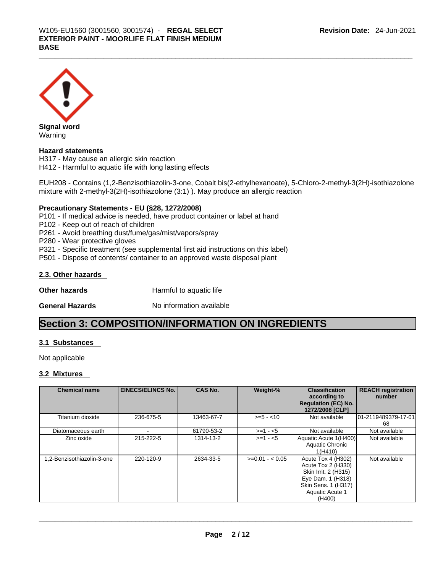

Warning

## **Hazard statements**

H317 - May cause an allergic skin reaction H412 - Harmful to aquatic life with long lasting effects

EUH208 - Contains (1,2-Benzisothiazolin-3-one, Cobalt bis(2-ethylhexanoate), 5-Chloro-2-methyl-3(2H)-isothiazolone mixture with 2-methyl-3(2H)-isothiazolone (3:1) ). May produce an allergic reaction

## **Precautionary Statements - EU (§28, 1272/2008)**

P101 - If medical advice is needed, have product container or label at hand

P102 - Keep out of reach of children

P261 - Avoid breathing dust/fume/gas/mist/vapors/spray

P280 - Wear protective gloves

P321 - Specific treatment (see supplemental first aid instructions on this label)

P501 - Dispose of contents/ container to an approved waste disposal plant

### **2.3. Other hazards**

**Other hazards Harmful to aquatic life** 

**General Hazards No information available** 

## **Section 3: COMPOSITION/INFORMATION ON INGREDIENTS**

### **3.1 Substances**

Not applicable

### **3.2 Mixtures**

| <b>Chemical name</b>       | <b>EINECS/ELINCS No.</b> | <b>CAS No.</b> | Weight-%        | <b>Classification</b><br>according to<br><b>Regulation (EC) No.</b><br>1272/2008 [CLP]                                                    | <b>REACH registration</b><br>number |
|----------------------------|--------------------------|----------------|-----------------|-------------------------------------------------------------------------------------------------------------------------------------------|-------------------------------------|
| Titanium dioxide           | 236-675-5                | 13463-67-7     | $>= 5 - 10$     | Not available                                                                                                                             | 101-2119489379-17-01<br>68          |
| Diatomaceous earth         |                          | 61790-53-2     | $>=1 - 5$       | Not available                                                                                                                             | Not available                       |
| Zinc oxide                 | 215-222-5                | 1314-13-2      | $>=1 - 5$       | Aquatic Acute 1(H400)<br>Aquatic Chronic<br>1(H410)                                                                                       | Not available                       |
| 1.2-Benzisothiazolin-3-one | 220-120-9                | 2634-33-5      | $>=0.01 - 0.05$ | Acute Tox 4 (H302)<br>Acute Tox 2 (H330)<br>Skin Irrit. 2 (H315)<br>Eye Dam. 1 (H318)<br>Skin Sens. 1 (H317)<br>Aquatic Acute 1<br>(H400) | Not available                       |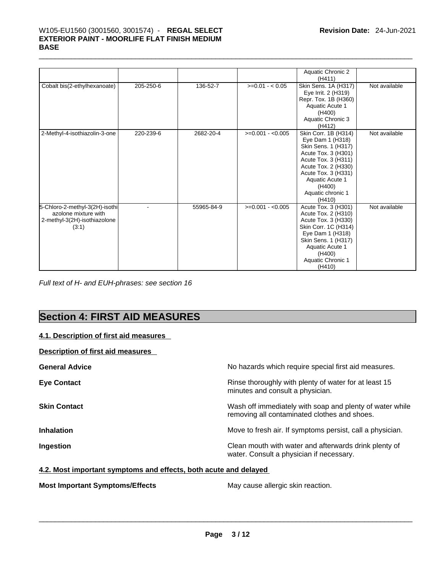## \_\_\_\_\_\_\_\_\_\_\_\_\_\_\_\_\_\_\_\_\_\_\_\_\_\_\_\_\_\_\_\_\_\_\_\_\_\_\_\_\_\_\_\_\_\_\_\_\_\_\_\_\_\_\_\_\_\_\_\_\_\_\_\_\_\_\_\_\_\_\_\_\_\_\_\_\_\_\_\_\_\_\_\_\_\_\_\_\_\_\_\_\_ W105-EU1560 (3001560, 3001574) - **REGAL SELECT EXTERIOR PAINT - MOORLIFE FLAT FINISH MEDIUM BASE**

|                                                                                                 |           |            |                   | Aquatic Chronic 2<br>(H411)                                                                                                                                                                                             |               |
|-------------------------------------------------------------------------------------------------|-----------|------------|-------------------|-------------------------------------------------------------------------------------------------------------------------------------------------------------------------------------------------------------------------|---------------|
| Cobalt bis(2-ethylhexanoate)                                                                    | 205-250-6 | 136-52-7   | $>=0.01 - 0.05$   | Skin Sens. 1A (H317)<br>Eye Irrit. 2 (H319)<br>Repr. Tox. 1B (H360)<br>Aquatic Acute 1<br>(H400)<br>Aquatic Chronic 3<br>(H412)                                                                                         | Not available |
| 2-Methyl-4-isothiazolin-3-one                                                                   | 220-239-6 | 2682-20-4  | $>=0.001 - 0.005$ | Skin Corr. 1B (H314)<br>Eye Dam 1 (H318)<br>Skin Sens. 1 (H317)<br>Acute Tox. 3 (H301)<br>Acute Tox. 3 (H311)<br>Acute Tox. 2 (H330)<br>Acute Tox. 3 (H331)<br>Aquatic Acute 1<br>(H400)<br>Aquatic chronic 1<br>(H410) | Not available |
| 5-Chloro-2-methyl-3(2H)-isothi<br>azolone mixture with<br>2-methyl-3(2H)-isothiazolone<br>(3:1) |           | 55965-84-9 | $>=0.001 - 0.005$ | Acute Tox. 3 (H301)<br>Acute Tox. 2 (H310)<br>Acute Tox. 3 (H330)<br>Skin Corr. 1C (H314)<br>Eye Dam 1 (H318)<br>Skin Sens. 1 (H317)<br>Aquatic Acute 1<br>(H400)<br>Aquatic Chronic 1<br>(H410)                        | Not available |

*Full text of H- and EUH-phrases: see section 16* 

# **Section 4: FIRST AID MEASURES**

| 4.1. Description of first aid measures   |                                                                                                          |
|------------------------------------------|----------------------------------------------------------------------------------------------------------|
| <b>Description of first aid measures</b> |                                                                                                          |
| <b>General Advice</b>                    | No hazards which require special first aid measures.                                                     |
| <b>Eye Contact</b>                       | Rinse thoroughly with plenty of water for at least 15<br>minutes and consult a physician.                |
| <b>Skin Contact</b>                      | Wash off immediately with soap and plenty of water while<br>removing all contaminated clothes and shoes. |
| <b>Inhalation</b>                        | Move to fresh air. If symptoms persist, call a physician.                                                |
| Ingestion                                | Clean mouth with water and afterwards drink plenty of<br>water. Consult a physician if necessary.        |

## **4.2. Most important symptoms and effects, both acute and delayed**

**Most Important Symptoms/Effects** May cause allergic skin reaction. \_\_\_\_\_\_\_\_\_\_\_\_\_\_\_\_\_\_\_\_\_\_\_\_\_\_\_\_\_\_\_\_\_\_\_\_\_\_\_\_\_\_\_\_\_\_\_\_\_\_\_\_\_\_\_\_\_\_\_\_\_\_\_\_\_\_\_\_\_\_\_\_\_\_\_\_\_\_\_\_\_\_\_\_\_\_\_\_\_\_\_\_\_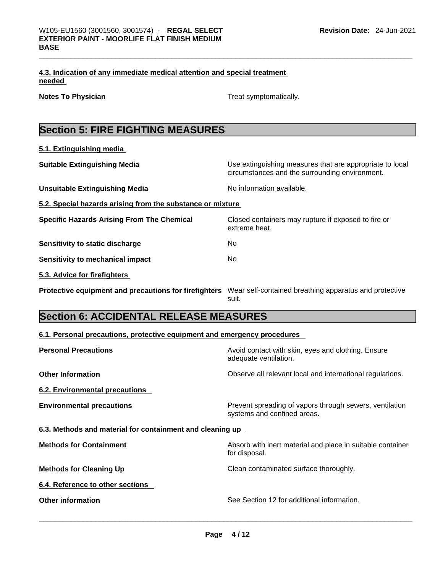|        | 4.3. Indication of any immediate medical attention and special treatment |  |
|--------|--------------------------------------------------------------------------|--|
| needed |                                                                          |  |

**Notes To Physician Treat symptomatically.** Treat symptomatically.

|  |  | <b>Section 5: FIRE FIGHTING MEASURES</b> |  |
|--|--|------------------------------------------|--|
|  |  |                                          |  |

**5.1. Extinguishing media**

| <b>Suitable Extinguishing Media</b>                        | Use extinguishing measures that are appropriate to local<br>circumstances and the surrounding environment. |
|------------------------------------------------------------|------------------------------------------------------------------------------------------------------------|
| <b>Unsuitable Extinguishing Media</b>                      | No information available.                                                                                  |
| 5.2. Special hazards arising from the substance or mixture |                                                                                                            |
| <b>Specific Hazards Arising From The Chemical</b>          | Closed containers may rupture if exposed to fire or<br>extreme heat.                                       |
| Sensitivity to static discharge                            | No.                                                                                                        |
| <b>Sensitivity to mechanical impact</b>                    | No.                                                                                                        |
| 5.3. Advice for firefighters                               |                                                                                                            |
| Protective equipment and precautions for firefighters      | Wear self-contained breathing apparatus and protective<br>suit.                                            |

# **Section 6: ACCIDENTAL RELEASE MEASURES**

| 6.1. Personal precautions, protective equipment and emergency procedures |
|--------------------------------------------------------------------------|
|--------------------------------------------------------------------------|

| <b>Personal Precautions</b>                               | Avoid contact with skin, eyes and clothing. Ensure<br>adequate ventilation.            |
|-----------------------------------------------------------|----------------------------------------------------------------------------------------|
| <b>Other Information</b>                                  | Observe all relevant local and international regulations.                              |
| 6.2. Environmental precautions                            |                                                                                        |
| <b>Environmental precautions</b>                          | Prevent spreading of vapors through sewers, ventilation<br>systems and confined areas. |
| 6.3. Methods and material for containment and cleaning up |                                                                                        |
| <b>Methods for Containment</b>                            | Absorb with inert material and place in suitable container<br>for disposal.            |
| <b>Methods for Cleaning Up</b>                            | Clean contaminated surface thoroughly.                                                 |
| 6.4. Reference to other sections                          |                                                                                        |
| <b>Other information</b>                                  | See Section 12 for additional information.                                             |
|                                                           |                                                                                        |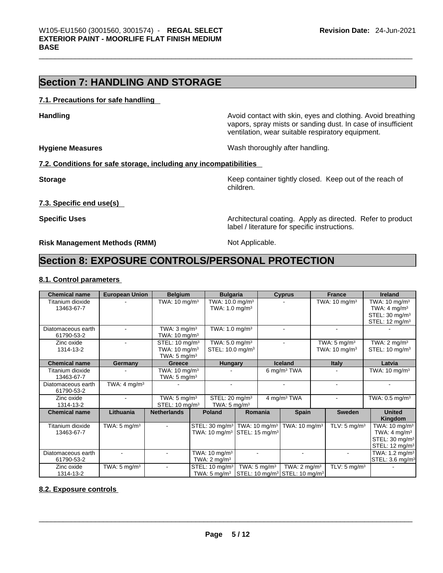## **Section 7: HANDLING AND STORAGE**

## **7.1. Precautions for safe handling**

**Handling <b>Avoid** contact with skin, eyes and clothing. Avoid breathing and state of the sking of the sking and clothing. Avoid breathing vapors, spray mists or sanding dust. In case of insufficient ventilation, wear suitable respiratory equipment.

**Hygiene Measures Wash thoroughly after handling.** 

label / literature for specific instructions.

## **7.2. Conditions for safe storage, including any incompatibilities**

**Storage Keep container tightly closed. Keep out of the reach of the reach of the reach of the reach of the reach of the reach of the reach of the reach of the reach of the reach of the reach of the reach of the reach of** children.

**7.3. Specific end use(s)** 

**Specific Uses Architectural coating. Apply as directed. Refer to product Specific Uses** 

**Risk Management Methods (RMM)** Not Applicable.

## **Section 8: EXPOSURE CONTROLS/PERSONAL PROTECTION**

## **8.1. Control parameters**

| <b>Chemical name</b> | <b>European Union</b>   | <b>Belgium</b>             |                         | <b>Bulgaria</b>                                      |  |                         | <b>Cyprus</b>                                                                                  |  | <b>France</b>            | <b>Ireland</b>               |
|----------------------|-------------------------|----------------------------|-------------------------|------------------------------------------------------|--|-------------------------|------------------------------------------------------------------------------------------------|--|--------------------------|------------------------------|
| Titanium dioxide     |                         | TWA: $10 \text{ mg/m}^3$   |                         | TWA: $10.0 \text{ mg/m}^3$                           |  |                         |                                                                                                |  | TWA: $10 \text{ mg/m}^3$ | TWA: $10 \text{ mg/m}^3$     |
| 13463-67-7           |                         |                            |                         | TWA: $1.0 \text{ mg/m}^3$                            |  |                         |                                                                                                |  |                          | TWA: $4 \text{ mg/m}^3$      |
|                      |                         |                            |                         |                                                      |  |                         |                                                                                                |  |                          | STEL: 30 mg/m <sup>3</sup>   |
|                      |                         |                            |                         |                                                      |  |                         |                                                                                                |  |                          | STEL: 12 mg/m <sup>3</sup>   |
| Diatomaceous earth   |                         | TWA: $3 \text{ mg/m}^3$    |                         | TWA: $1.0$ mg/m <sup>3</sup>                         |  |                         |                                                                                                |  |                          |                              |
| 61790-53-2           |                         | TWA: $10 \text{ mg/m}^3$   |                         |                                                      |  |                         |                                                                                                |  |                          |                              |
| Zinc oxide           |                         | STEL: 10 mg/m <sup>3</sup> |                         | TWA: 5.0 mg/m <sup>3</sup>                           |  |                         |                                                                                                |  | TWA: $5 \text{ mg/m}^3$  | TWA: $2 \text{ mg/m}^3$      |
| 1314-13-2            |                         | TWA: 10 mg/m <sup>3</sup>  |                         | STEL: 10.0 mg/m <sup>3</sup>                         |  |                         |                                                                                                |  | TWA: $10 \text{ mg/m}^3$ | STEL: 10 mg/m <sup>3</sup>   |
|                      |                         | TWA: $5 \text{ mg/m}^3$    |                         |                                                      |  |                         |                                                                                                |  |                          |                              |
| <b>Chemical name</b> | Germany                 | Greece                     |                         | <b>Hungary</b>                                       |  |                         | <b>Iceland</b>                                                                                 |  | <b>Italy</b>             | Latvia                       |
| Titanium dioxide     |                         | TWA: $10 \text{ mg/m}^3$   |                         |                                                      |  |                         | 6 mg/m $3$ TWA                                                                                 |  |                          | TWA: $10 \text{ mg/m}^3$     |
| 13463-67-7           |                         |                            | TWA: $5 \text{ mg/m}^3$ |                                                      |  |                         |                                                                                                |  |                          |                              |
| Diatomaceous earth   | TWA: $4 \text{ mg/m}^3$ |                            |                         |                                                      |  |                         |                                                                                                |  |                          |                              |
| 61790-53-2           |                         |                            |                         |                                                      |  |                         |                                                                                                |  |                          |                              |
| Zinc oxide           |                         | TWA: $5 \text{ mg/m}^3$    |                         | STEL: 20 mg/m <sup>3</sup>                           |  |                         | 4 mg/m <sup>3</sup> TWA                                                                        |  |                          | TWA: $0.5$ mg/m <sup>3</sup> |
| 1314-13-2            |                         | STEL: $10 \text{ mg/m}^3$  |                         | TWA: $5 \text{ mg/m}^3$                              |  |                         |                                                                                                |  |                          |                              |
| <b>Chemical name</b> | Lithuania               | <b>Netherlands</b>         |                         | <b>Poland</b>                                        |  | Romania                 | <b>Spain</b>                                                                                   |  | <b>Sweden</b>            | <b>United</b>                |
|                      |                         |                            |                         |                                                      |  |                         |                                                                                                |  |                          | Kingdom                      |
| Titanium dioxide     | TWA: $5 \text{ mg/m}^3$ |                            |                         | STEL: 30 mg/m <sup>3</sup> TWA: 10 mg/m <sup>3</sup> |  |                         | TWA: 10 mg/m <sup>3</sup>                                                                      |  | TLV: $5 \text{ mg/m}^3$  | TWA: $10 \text{ mg/m}^3$     |
| 13463-67-7           |                         |                            |                         | TWA: 10 mg/m <sup>3</sup> STEL: 15 mg/m <sup>3</sup> |  |                         |                                                                                                |  |                          | TWA: $4 \text{ mg/m}^3$      |
|                      |                         |                            |                         |                                                      |  |                         |                                                                                                |  |                          | STEL: 30 mg/m <sup>3</sup>   |
|                      |                         |                            |                         |                                                      |  |                         |                                                                                                |  |                          | STEL: 12 mg/m <sup>3</sup>   |
| Diatomaceous earth   |                         |                            |                         | TWA: $10 \text{ mg/m}^3$                             |  |                         |                                                                                                |  |                          | TWA: 1.2 mg/m <sup>3</sup>   |
| 61790-53-2           |                         |                            |                         | TWA: $2 \text{ mg/m}^3$                              |  |                         |                                                                                                |  |                          | STEL: 3.6 mg/m <sup>3</sup>  |
| Zinc oxide           | TWA: $5 \text{ mg/m}^3$ |                            |                         | $STEL: 10$ mg/m $3$                                  |  | TWA: $5 \text{ mg/m}^3$ | TWA: $2 \text{ mg/m}^3$                                                                        |  | TLV: $5 \text{ mg/m}^3$  |                              |
| 1314-13-2            |                         |                            |                         | TWA: $5 \text{ mg/m}^3$                              |  |                         | $\left \right.$ STEL: 10 mg/m <sup>3</sup> $\left \right.$ STEL: 10 mg/m <sup>3</sup> $\left $ |  |                          |                              |

## **8.2. Exposure controls**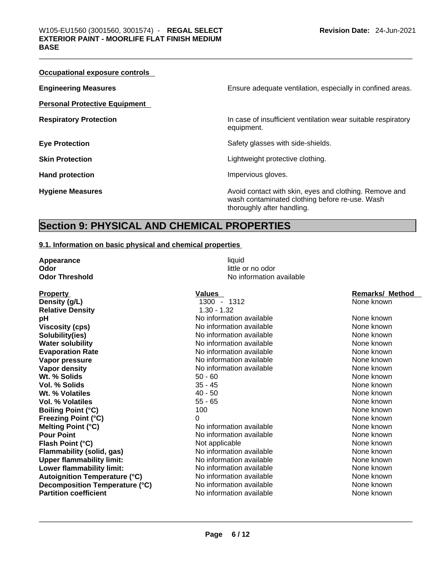| Occupational exposure controls       |                                                                                                                                        |
|--------------------------------------|----------------------------------------------------------------------------------------------------------------------------------------|
| <b>Engineering Measures</b>          | Ensure adequate ventilation, especially in confined areas.                                                                             |
| <b>Personal Protective Equipment</b> |                                                                                                                                        |
| <b>Respiratory Protection</b>        | In case of insufficient ventilation wear suitable respiratory<br>equipment.                                                            |
| <b>Eye Protection</b>                | Safety glasses with side-shields.                                                                                                      |
| <b>Skin Protection</b>               | Lightweight protective clothing.                                                                                                       |
| <b>Hand protection</b>               | Impervious gloves.                                                                                                                     |
| <b>Hygiene Measures</b>              | Avoid contact with skin, eyes and clothing. Remove and<br>wash contaminated clothing before re-use. Wash<br>thoroughly after handling. |

## **Section 9: PHYSICAL AND CHEMICAL PROPERTIES**

## **9.1. Information on basic physical and chemical properties**

| Appearance                           | liquid                   |                        |
|--------------------------------------|--------------------------|------------------------|
| Odor                                 | little or no odor        |                        |
| <b>Odor Threshold</b>                | No information available |                        |
| <b>Property</b>                      | <b>Values</b>            | <b>Remarks/ Method</b> |
| Density (g/L)                        | 1300 - 1312              | None known             |
| <b>Relative Density</b>              | $1.30 - 1.32$            |                        |
| pH                                   | No information available | None known             |
| <b>Viscosity (cps)</b>               | No information available | None known             |
| Solubility(ies)                      | No information available | None known             |
| <b>Water solubility</b>              | No information available | None known             |
| <b>Evaporation Rate</b>              | No information available | None known             |
| Vapor pressure                       | No information available | None known             |
| <b>Vapor density</b>                 | No information available | None known             |
| Wt. % Solids                         | $50 - 60$                | None known             |
| Vol. % Solids                        | $35 - 45$                | None known             |
| Wt. % Volatiles                      | $40 - 50$                | None known             |
| Vol. % Volatiles                     | $55 - 65$                | None known             |
| <b>Boiling Point (°C)</b>            | 100                      | None known             |
| <b>Freezing Point (°C)</b>           | 0                        | None known             |
| <b>Melting Point (°C)</b>            | No information available | None known             |
| <b>Pour Point</b>                    | No information available | None known             |
| Flash Point (°C)                     | Not applicable           | None known             |
| Flammability (solid, gas)            | No information available | None known             |
| <b>Upper flammability limit:</b>     | No information available | None known             |
| Lower flammability limit:            | No information available | None known             |
| <b>Autoignition Temperature (°C)</b> | No information available | None known             |
| Decomposition Temperature (°C)       | No information available | None known             |
| <b>Partition coefficient</b>         | No information available | None known             |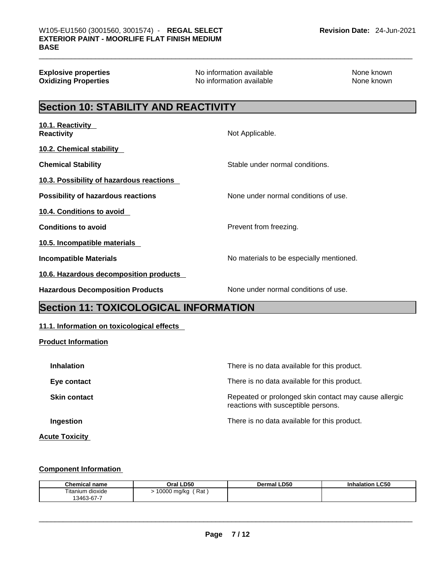| <b>Explosive properties</b><br><b>Oxidizing Properties</b> | No information available<br>No information available | None known<br>None known |  |  |
|------------------------------------------------------------|------------------------------------------------------|--------------------------|--|--|
| <b>Section 10: STABILITY AND REACTIVITY</b>                |                                                      |                          |  |  |
| 10.1. Reactivity<br><b>Reactivity</b>                      | Not Applicable.                                      |                          |  |  |
| 10.2. Chemical stability                                   |                                                      |                          |  |  |
| <b>Chemical Stability</b>                                  | Stable under normal conditions.                      |                          |  |  |
| 10.3. Possibility of hazardous reactions                   |                                                      |                          |  |  |
| <b>Possibility of hazardous reactions</b>                  | None under normal conditions of use.                 |                          |  |  |
| 10.4. Conditions to avoid                                  |                                                      |                          |  |  |
| <b>Conditions to avoid</b>                                 | Prevent from freezing.                               |                          |  |  |
| 10.5. Incompatible materials                               |                                                      |                          |  |  |
| <b>Incompatible Materials</b>                              | No materials to be especially mentioned.             |                          |  |  |
| 10.6. Hazardous decomposition products                     |                                                      |                          |  |  |
| <b>Hazardous Decomposition Products</b>                    | None under normal conditions of use.                 |                          |  |  |
| le<br><b><i>Les 44. TOVICOLOGICAL INFODIAATION</i></b>     |                                                      |                          |  |  |

## **Section 11: TOXICOLOGICAL INFORMATION**

## **11.1. Information on toxicological effects**

**Product Information**

| <b>Inhalation</b>     | There is no data available for this product.                                                 |
|-----------------------|----------------------------------------------------------------------------------------------|
| Eye contact           | There is no data available for this product.                                                 |
| <b>Skin contact</b>   | Repeated or prolonged skin contact may cause allergic<br>reactions with susceptible persons. |
| Ingestion             | There is no data available for this product.                                                 |
| <b>Acute Toxicity</b> |                                                                                              |

## **Component Information**

| <b>Chemical name</b> | Oral LD50          | Dermal LD50 | <b>Inhalation LC50</b> |
|----------------------|--------------------|-------------|------------------------|
| Fitanium dioxide     | Rat<br>10000 mg/kg |             |                        |
| 13463-67-7           |                    |             |                        |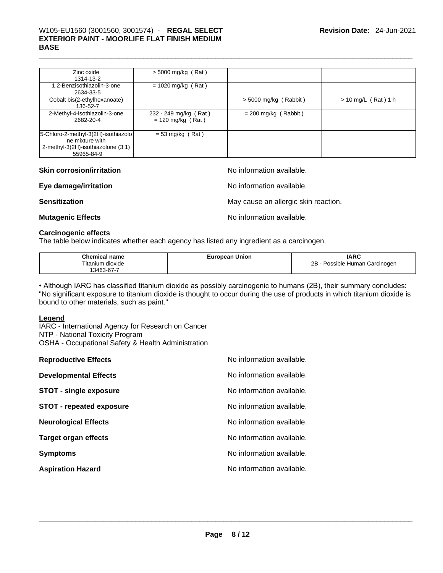## \_\_\_\_\_\_\_\_\_\_\_\_\_\_\_\_\_\_\_\_\_\_\_\_\_\_\_\_\_\_\_\_\_\_\_\_\_\_\_\_\_\_\_\_\_\_\_\_\_\_\_\_\_\_\_\_\_\_\_\_\_\_\_\_\_\_\_\_\_\_\_\_\_\_\_\_\_\_\_\_\_\_\_\_\_\_\_\_\_\_\_\_\_ W105-EU1560 (3001560, 3001574) - **REGAL SELECT EXTERIOR PAINT - MOORLIFE FLAT FINISH MEDIUM BASE**

| Zinc oxide<br>1314-13-2                                                                                    | $>$ 5000 mg/kg (Rat)                         |                         |                       |
|------------------------------------------------------------------------------------------------------------|----------------------------------------------|-------------------------|-----------------------|
| 1,2-Benzisothiazolin-3-one<br>2634-33-5                                                                    | $= 1020$ mg/kg (Rat)                         |                         |                       |
| Cobalt bis(2-ethylhexanoate)<br>136-52-7                                                                   |                                              | $> 5000$ mg/kg (Rabbit) | $> 10$ mg/L (Rat) 1 h |
| 2-Methyl-4-isothiazolin-3-one<br>2682-20-4                                                                 | 232 - 249 mg/kg (Rat)<br>$= 120$ mg/kg (Rat) | $= 200$ mg/kg (Rabbit)  |                       |
| 5-Chloro-2-methyl-3(2H)-isothiazolo<br>ne mixture with<br>2-methyl-3(2H)-isothiazolone (3:1)<br>55965-84-9 | $= 53$ mg/kg (Rat)                           |                         |                       |

| <b>Skin corrosion/irritation</b> | No information available.            |
|----------------------------------|--------------------------------------|
| Eye damage/irritation            | No information available.            |
| <b>Sensitization</b>             | May cause an allergic skin reaction. |
| <b>Mutagenic Effects</b>         | No information available.            |

## **Carcinogenic effects**

The table below indicates whether each agency has listed any ingredient as a carcinogen.

| Chemical<br>name      | opean Union<br>∟ure ⊺ | <b>IARC</b>                     |
|-----------------------|-----------------------|---------------------------------|
| ⊦dioxide<br>l itanıum |                       | 2B<br>Possible Human Carcinogen |
| 3463<br>. აპ-ხ7 -     |                       |                                 |

• Although IARC has classified titanium dioxide as possibly carcinogenic to humans (2B), their summary concludes: "No significant exposure to titanium dioxide is thought to occur during the use of products in which titanium dioxide is bound to other materials, such as paint."

### **Legend**

IARC - International Agency for Research on Cancer NTP - National Toxicity Program OSHA - Occupational Safety & Health Administration

| <b>Reproductive Effects</b>     | No information available. |
|---------------------------------|---------------------------|
| <b>Developmental Effects</b>    | No information available. |
| <b>STOT - single exposure</b>   | No information available. |
| <b>STOT - repeated exposure</b> | No information available. |
| <b>Neurological Effects</b>     | No information available. |
| <b>Target organ effects</b>     | No information available. |
| <b>Symptoms</b>                 | No information available. |
| <b>Aspiration Hazard</b>        | No information available. |
|                                 |                           |
|                                 |                           |
|                                 |                           |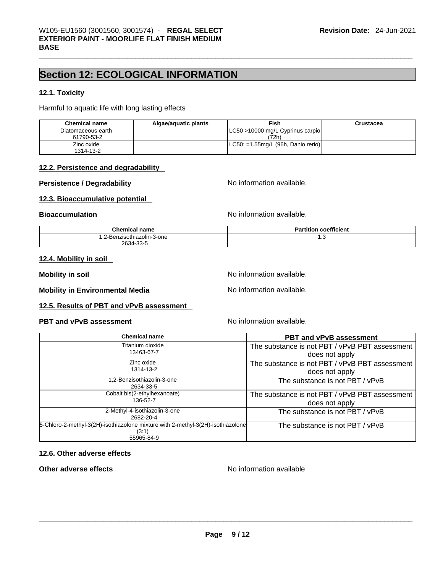## **Section 12: ECOLOGICAL INFORMATION**

## **12.1. Toxicity**

Harmful to aquatic life with long lasting effects

| <b>Chemical name</b>             | Algae/aguatic plants | Fish                                      | Crustacea |
|----------------------------------|----------------------|-------------------------------------------|-----------|
| Diatomaceous earth<br>61790-53-2 |                      | LC50 >10000 mg/L Cyprinus carpio<br>(72h) |           |
| Zinc oxide<br>1314-13-2          |                      | $ $ LC50: =1.55mg/L (96h, Danio rerio)    |           |

#### **12.2. Persistence and degradability**

## **Persistence / Degradability** No information available.

## **12.3. Bioaccumulative potential**

**Bioaccumulation No information available. No information available.** 

| Chemical name              | coefficient<br>Partition |
|----------------------------|--------------------------|
| 1,2-Benzisothiazolin-3-one | ں. ا                     |
| 2634-33-5                  |                          |

### **12.4. Mobility in soil**

**Mobility in soil Mobility in soil Mobility in soil Mo Mo information available.** 

**Mobility in Environmental Media** Noinformation available.

### **12.5. Results of PBT and vPvB assessment**

#### **PBT** and **vPvB** assessment **No information available.**

| <b>Chemical name</b>                                                                     | <b>PBT and vPvB assessment</b>                                   |
|------------------------------------------------------------------------------------------|------------------------------------------------------------------|
| Titanium dioxide<br>13463-67-7                                                           | The substance is not PBT / vPvB PBT assessment                   |
| Zinc oxide                                                                               | does not apply                                                   |
| 1314-13-2                                                                                | The substance is not PBT / vPvB PBT assessment<br>does not apply |
| 1,2-Benzisothiazolin-3-one<br>2634-33-5                                                  | The substance is not PBT / vPvB                                  |
| Cobalt bis(2-ethylhexanoate)<br>136-52-7                                                 | The substance is not PBT / vPvB PBT assessment                   |
| 2-Methyl-4-isothiazolin-3-one<br>2682-20-4                                               | does not apply<br>The substance is not PBT / vPvB                |
| 5-Chloro-2-methyl-3(2H)-isothiazolone mixture with 2-methyl-3(2H)-isothiazolone<br>(3:1) | The substance is not PBT / vPvB                                  |
| 55965-84-9                                                                               |                                                                  |

### **12.6. Other adverse effects**

Other adverse effects<br>
No information available<br>
No information available<br>
No information available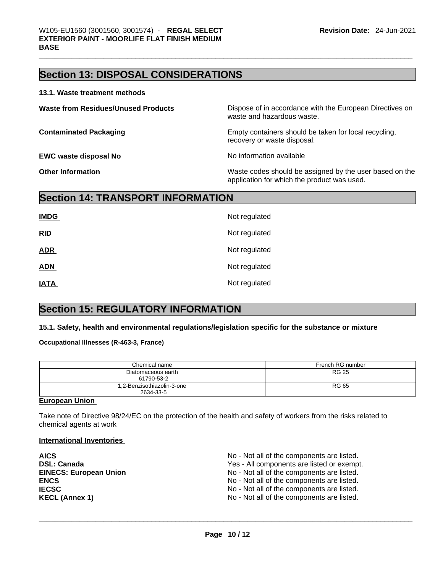## **Section 13: DISPOSAL CONSIDERATIONS**

#### **13.1. Waste treatment methods**

| <b>Waste from Residues/Unused Products</b> | Dispose of in accordance with the European Directives on<br>waste and hazardous waste.                 |
|--------------------------------------------|--------------------------------------------------------------------------------------------------------|
| <b>Contaminated Packaging</b>              | Empty containers should be taken for local recycling,<br>recovery or waste disposal.                   |
| <b>EWC waste disposal No</b>               | No information available                                                                               |
| <b>Other Information</b>                   | Waste codes should be assigned by the user based on the<br>application for which the product was used. |

## **Section 14: TRANSPORT INFORMATION**

| <b>IMDG</b> | Not regulated |
|-------------|---------------|
| RID         | Not regulated |
| <b>ADR</b>  | Not regulated |
| <b>ADN</b>  | Not regulated |
| <b>IATA</b> | Not regulated |

## **Section 15: REGULATORY INFORMATION**

## **15.1. Safety, health and environmental regulations/legislation specific for the substance or mixture**

## **Occupational Illnesses (R-463-3, France)**

| Chemical name                           | French RG number |
|-----------------------------------------|------------------|
| Diatomaceous earth<br>61790-53-2        | <b>RG 25</b>     |
| 1,2-Benzisothiazolin-3-one<br>2634-33-5 | <b>RG 65</b>     |

#### **European Union**

Take note of Directive 98/24/EC on the protection of the health and safety of workers from the risks related to chemical agents at work

#### **International Inventories**

| <b>AICS</b>                   | No - Not all of the components are listed. |
|-------------------------------|--------------------------------------------|
| <b>DSL: Canada</b>            | Yes - All components are listed or exempt. |
| <b>EINECS: European Union</b> | No - Not all of the components are listed. |
| <b>ENCS</b>                   | No - Not all of the components are listed. |
| <b>IECSC</b>                  | No - Not all of the components are listed. |
| <b>KECL (Annex 1)</b>         | No - Not all of the components are listed. |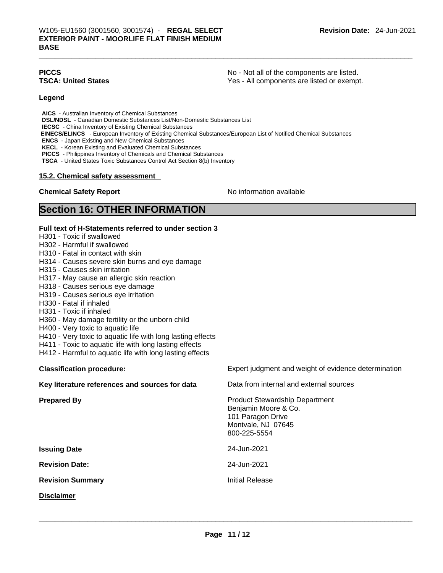**PICCS** No - Not all of the components are listed. **TSCA: United States** Yes - All components are listed or exempt.

#### **Legend**

**AICS** - Australian Inventory of Chemical Substances **DSL/NDSL** - Canadian Domestic Substances List/Non-Domestic Substances List **IECSC** - China Inventory of Existing Chemical Substances  **EINECS/ELINCS** - European Inventory of Existing Chemical Substances/European List of Notified Chemical Substances **ENCS** - Japan Existing and New Chemical Substances **KECL** - Korean Existing and Evaluated Chemical Substances **PICCS** - Philippines Inventory of Chemicals and Chemical Substances **TSCA** - United States Toxic Substances Control Act Section 8(b) Inventory

#### **15.2. Chemical safety assessment**

## **Chemical Safety Report Chemical Safety Report No information available**

## **Section 16: OTHER INFORMATION**

#### **Full text of H-Statements referred to under section 3**

- H301 Toxic if swallowed
- H302 Harmful if swallowed
- H310 Fatal in contact with skin
- H314 Causes severe skin burns and eye damage
- H315 Causes skin irritation
- H317 May cause an allergic skin reaction
- H318 Causes serious eye damage
- H319 Causes serious eye irritation
- H330 Fatal if inhaled
- H331 Toxic if inhaled
- H360 May damage fertility or the unborn child
- H400 Very toxic to aquatic life
- H410 Very toxic to aquatic life with long lasting effects
- H411 Toxic to aquatic life with long lasting effects
- H412 Harmful to aquatic life with long lasting effects

### **Classification procedure:** Expert judgment and weight of evidence determination

| Key literature references and sources for data | Data from internal and external sources                                                                                  |
|------------------------------------------------|--------------------------------------------------------------------------------------------------------------------------|
| <b>Prepared By</b>                             | <b>Product Stewardship Department</b><br>Benjamin Moore & Co.<br>101 Paragon Drive<br>Montvale, NJ 07645<br>800-225-5554 |
| <b>Issuing Date</b>                            | 24-Jun-2021                                                                                                              |
| <b>Revision Date:</b>                          | 24-Jun-2021                                                                                                              |
| <b>Revision Summary</b>                        | <b>Initial Release</b>                                                                                                   |
| <b>Disclaimer</b>                              |                                                                                                                          |
|                                                |                                                                                                                          |